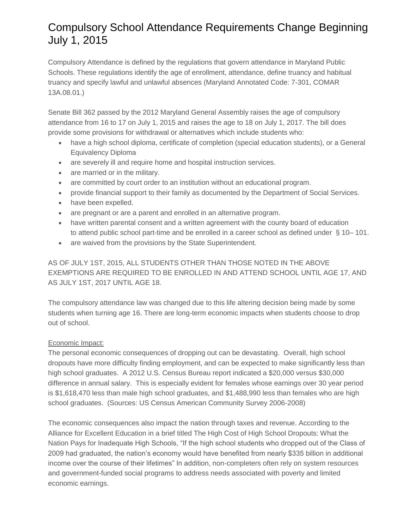# Compulsory School Attendance Requirements Change Beginning July 1, 2015

Compulsory Attendance is defined by the regulations that govern attendance in Maryland Public Schools. These regulations identify the age of enrollment, attendance, define truancy and habitual truancy and specify lawful and unlawful absences (Maryland Annotated Code: 7-301, COMAR 13A.08.01.)

Senate Bill 362 passed by the 2012 Maryland General Assembly raises the age of compulsory attendance from 16 to 17 on July 1, 2015 and raises the age to 18 on July 1, 2017. The bill does provide some provisions for withdrawal or alternatives which include students who:

- have a high school diploma, certificate of completion (special education students), or a General Equivalency Diploma
- are severely ill and require home and hospital instruction services.
- are married or in the military.
- are committed by court order to an institution without an educational program.
- provide financial support to their family as documented by the Department of Social Services.
- have been expelled.
- are pregnant or are a parent and enrolled in an alternative program.
- have written parental consent and a written agreement with the county board of education to attend public school part-time and be enrolled in a career school as defined under § 10– 101.
- are waived from the provisions by the State Superintendent.

## AS OF JULY 1ST, 2015, ALL STUDENTS OTHER THAN THOSE NOTED IN THE ABOVE EXEMPTIONS ARE REQUIRED TO BE ENROLLED IN AND ATTEND SCHOOL UNTIL AGE 17, AND AS JULY 1ST, 2017 UNTIL AGE 18.

The compulsory attendance law was changed due to this life altering decision being made by some students when turning age 16. There are long-term economic impacts when students choose to drop out of school.

### Economic Impact:

The personal economic consequences of dropping out can be devastating. Overall, high school dropouts have more difficulty finding employment, and can be expected to make significantly less than high school graduates. A 2012 U.S. Census Bureau report indicated a \$20,000 versus \$30,000 difference in annual salary. This is especially evident for females whose earnings over 30 year period is \$1,618,470 less than male high school graduates, and \$1,488,990 less than females who are high school graduates. (Sources: US Census American Community Survey 2006-2008)

The economic consequences also impact the nation through taxes and revenue. According to the Alliance for Excellent Education in a brief titled The High Cost of High School Dropouts: What the Nation Pays for Inadequate High Schools, "If the high school students who dropped out of the Class of 2009 had graduated, the nation's economy would have benefited from nearly \$335 billion in additional income over the course of their lifetimes" In addition, non-completers often rely on system resources and government-funded social programs to address needs associated with poverty and limited economic earnings.